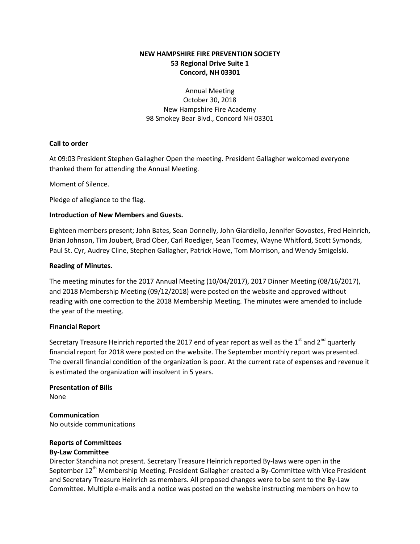# **NEW HAMPSHIRE FIRE PREVENTION SOCIETY 53 Regional Drive Suite 1 Concord, NH 03301**

Annual Meeting October 30, 2018 New Hampshire Fire Academy 98 Smokey Bear Blvd., Concord NH 03301

# **Call to order**

At 09:03 President Stephen Gallagher Open the meeting. President Gallagher welcomed everyone thanked them for attending the Annual Meeting.

Moment of Silence.

Pledge of allegiance to the flag.

# **Introduction of New Members and Guests.**

Eighteen members present; John Bates, Sean Donnelly, John Giardiello, Jennifer Govostes, Fred Heinrich, Brian Johnson, Tim Joubert, Brad Ober, Carl Roediger, Sean Toomey, Wayne Whitford, Scott Symonds, Paul St. Cyr, Audrey Cline, Stephen Gallagher, Patrick Howe, Tom Morrison, and Wendy Smigelski.

# **Reading of Minutes**.

The meeting minutes for the 2017 Annual Meeting (10/04/2017), 2017 Dinner Meeting (08/16/2017), and 2018 Membership Meeting (09/12/2018) were posted on the website and approved without reading with one correction to the 2018 Membership Meeting. The minutes were amended to include the year of the meeting.

# **Financial Report**

Secretary Treasure Heinrich reported the 2017 end of year report as well as the 1<sup>st</sup> and 2<sup>nd</sup> quarterly financial report for 2018 were posted on the website. The September monthly report was presented. The overall financial condition of the organization is poor. At the current rate of expenses and revenue it is estimated the organization will insolvent in 5 years.

**Presentation of Bills** None

**Communication** No outside communications

# **Reports of Committees**

# **By-Law Committee**

Director Stanchina not present. Secretary Treasure Heinrich reported By-laws were open in the September 12<sup>th</sup> Membership Meeting. President Gallagher created a By-Committee with Vice President and Secretary Treasure Heinrich as members. All proposed changes were to be sent to the By-Law Committee. Multiple e-mails and a notice was posted on the website instructing members on how to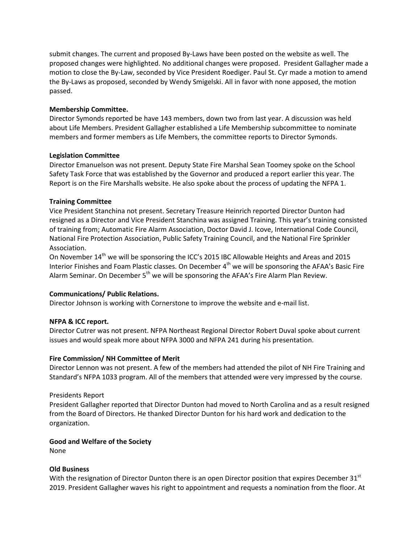submit changes. The current and proposed By-Laws have been posted on the website as well. The proposed changes were highlighted. No additional changes were proposed. President Gallagher made a motion to close the By-Law, seconded by Vice President Roediger. Paul St. Cyr made a motion to amend the By-Laws as proposed, seconded by Wendy Smigelski. All in favor with none apposed, the motion passed.

#### **Membership Committee.**

Director Symonds reported be have 143 members, down two from last year. A discussion was held about Life Members. President Gallagher established a Life Membership subcommittee to nominate members and former members as Life Members, the committee reports to Director Symonds.

#### **Legislation Committee**

Director Emanuelson was not present. Deputy State Fire Marshal Sean Toomey spoke on the School Safety Task Force that was established by the Governor and produced a report earlier this year. The Report is on the Fire Marshalls website. He also spoke about the process of updating the NFPA 1.

# **Training Committee**

Vice President Stanchina not present. Secretary Treasure Heinrich reported Director Dunton had resigned as a Director and Vice President Stanchina was assigned Training. This year's training consisted of training from; Automatic Fire Alarm Association, Doctor David J. Icove, International Code Council, National Fire Protection Association, Public Safety Training Council, and the National Fire Sprinkler Association.

On November 14<sup>th</sup> we will be sponsoring the ICC's 2015 IBC Allowable Heights and Areas and 2015 Interior Finishes and Foam Plastic classes. On December 4<sup>th</sup> we will be sponsoring the AFAA's Basic Fire Alarm Seminar. On December  $5<sup>th</sup>$  we will be sponsoring the AFAA's Fire Alarm Plan Review.

# **Communications/ Public Relations.**

Director Johnson is working with Cornerstone to improve the website and e-mail list.

# **NFPA & ICC report.**

Director Cutrer was not present. NFPA Northeast Regional Director Robert Duval spoke about current issues and would speak more about NFPA 3000 and NFPA 241 during his presentation.

# **Fire Commission/ NH Committee of Merit**

Director Lennon was not present. A few of the members had attended the pilot of NH Fire Training and Standard's NFPA 1033 program. All of the members that attended were very impressed by the course.

# Presidents Report

President Gallagher reported that Director Dunton had moved to North Carolina and as a result resigned from the Board of Directors. He thanked Director Dunton for his hard work and dedication to the organization.

#### **Good and Welfare of the Society**

None

#### **Old Business**

With the resignation of Director Dunton there is an open Director position that expires December  $31<sup>st</sup>$ 2019. President Gallagher waves his right to appointment and requests a nomination from the floor. At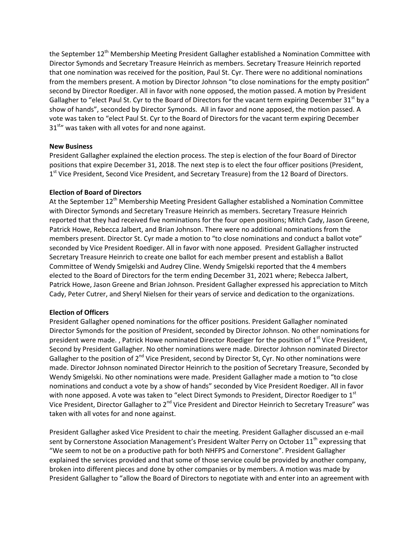the September  $12<sup>th</sup>$  Membership Meeting President Gallagher established a Nomination Committee with Director Symonds and Secretary Treasure Heinrich as members. Secretary Treasure Heinrich reported that one nomination was received for the position, Paul St. Cyr. There were no additional nominations from the members present. A motion by Director Johnson "to close nominations for the empty position" second by Director Roediger. All in favor with none opposed, the motion passed. A motion by President Gallagher to "elect Paul St. Cyr to the Board of Directors for the vacant term expiring December 31<sup>st</sup> by a show of hands", seconded by Director Symonds. All in favor and none apposed, the motion passed. A vote was taken to "elect Paul St. Cyr to the Board of Directors for the vacant term expiring December  $31<sup>str</sup>$  was taken with all votes for and none against.

# **New Business**

President Gallagher explained the election process. The step is election of the four Board of Director positions that expire December 31, 2018. The next step is to elect the four officer positions (President, 1<sup>st</sup> Vice President, Second Vice President, and Secretary Treasure) from the 12 Board of Directors.

#### **Election of Board of Directors**

At the September 12<sup>th</sup> Membership Meeting President Gallagher established a Nomination Committee with Director Symonds and Secretary Treasure Heinrich as members. Secretary Treasure Heinrich reported that they had received five nominations for the four open positions; Mitch Cady, Jason Greene, Patrick Howe, Rebecca Jalbert, and Brian Johnson. There were no additional nominations from the members present. Director St. Cyr made a motion to "to close nominations and conduct a ballot vote" seconded by Vice President Roediger. All in favor with none apposed. President Gallagher instructed Secretary Treasure Heinrich to create one ballot for each member present and establish a Ballot Committee of Wendy Smigelski and Audrey Cline. Wendy Smigelski reported that the 4 members elected to the Board of Directors for the term ending December 31, 2021 where; Rebecca Jalbert, Patrick Howe, Jason Greene and Brian Johnson. President Gallagher expressed his appreciation to Mitch Cady, Peter Cutrer, and Sheryl Nielsen for their years of service and dedication to the organizations.

#### **Election of Officers**

President Gallagher opened nominations for the officer positions. President Gallagher nominated Director Symonds for the position of President, seconded by Director Johnson. No other nominations for president were made. , Patrick Howe nominated Director Roediger for the position of 1<sup>st</sup> Vice President, Second by President Gallagher. No other nominations were made. Director Johnson nominated Director Gallagher to the position of  $2^{nd}$  Vice President, second by Director St, Cyr. No other nominations were made. Director Johnson nominated Director Heinrich to the position of Secretary Treasure, Seconded by Wendy Smigelski. No other nominations were made. President Gallagher made a motion to "to close nominations and conduct a vote by a show of hands" seconded by Vice President Roediger. All in favor with none apposed. A vote was taken to "elect Direct Symonds to President, Director Roediger to 1st Vice President, Director Gallagher to 2<sup>nd</sup> Vice President and Director Heinrich to Secretary Treasure" was taken with all votes for and none against.

President Gallagher asked Vice President to chair the meeting. President Gallagher discussed an e-mail sent by Cornerstone Association Management's President Walter Perry on October 11<sup>th</sup> expressing that "We seem to not be on a productive path for both NHFPS and Cornerstone". President Gallagher explained the services provided and that some of those service could be provided by another company, broken into different pieces and done by other companies or by members. A motion was made by President Gallagher to "allow the Board of Directors to negotiate with and enter into an agreement with